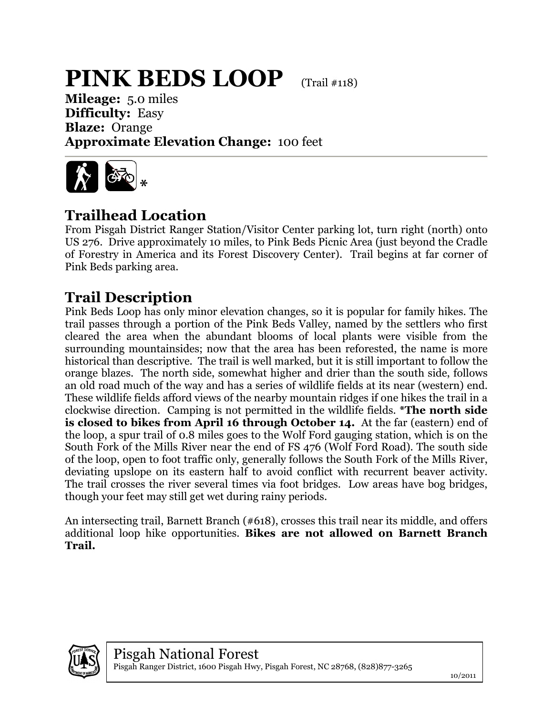## **PINK BEDS LOOP** (Trail #118)

**Mileage:** 5.0 miles **Difficulty:** Easy **Blaze:** Orange **Approximate Elevation Change:** 100 feet



## **Trailhead Location**

From Pisgah District Ranger Station/Visitor Center parking lot, turn right (north) onto US 276. Drive approximately 10 miles, to Pink Beds Picnic Area (just beyond the Cradle of Forestry in America and its Forest Discovery Center). Trail begins at far corner of Pink Beds parking area.

## **Trail Description**

Pink Beds Loop has only minor elevation changes, so it is popular for family hikes. The trail passes through a portion of the Pink Beds Valley, named by the settlers who first cleared the area when the abundant blooms of local plants were visible from the surrounding mountainsides; now that the area has been reforested, the name is more historical than descriptive. The trail is well marked, but it is still important to follow the orange blazes. The north side, somewhat higher and drier than the south side, follows an old road much of the way and has a series of wildlife fields at its near (western) end. These wildlife fields afford views of the nearby mountain ridges if one hikes the trail in a clockwise direction. Camping is not permitted in the wildlife fields. **\*The north side is closed to bikes from April 16 through October 14.** At the far (eastern) end of the loop, a spur trail of 0.8 miles goes to the Wolf Ford gauging station, which is on the South Fork of the Mills River near the end of FS 476 (Wolf Ford Road). The south side of the loop, open to foot traffic only, generally follows the South Fork of the Mills River, deviating upslope on its eastern half to avoid conflict with recurrent beaver activity. The trail crosses the river several times via foot bridges. Low areas have bog bridges, though your feet may still get wet during rainy periods.

An intersecting trail, Barnett Branch (#618), crosses this trail near its middle, and offers additional loop hike opportunities. **Bikes are not allowed on Barnett Branch Trail.**